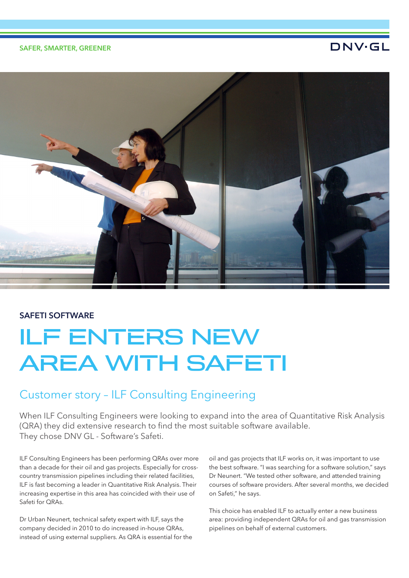## SAFER, SMARTER, GREENER

## **DNV·GL**



## SAFETI SOFTWARE

# ILF ENTERS NEW AREA WITH SAFETI

## Customer story – ILF Consulting Engineering

When ILF Consulting Engineers were looking to expand into the area of Quantitative Risk Analysis (QRA) they did extensive research to find the most suitable software available. They chose DNV GL - Software's Safeti.

ILF Consulting Engineers has been performing QRAs over more than a decade for their oil and gas projects. Especially for crosscountry transmission pipelines including their related facilities, ILF is fast becoming a leader in Quantitative Risk Analysis. Their increasing expertise in this area has coincided with their use of Safeti for QRAs.

Dr Urban Neunert, technical safety expert with ILF, says the company decided in 2010 to do increased in-house QRAs, instead of using external suppliers. As QRA is essential for the oil and gas projects that ILF works on, it was important to use the best software. "I was searching for a software solution," says Dr Neunert. "We tested other software, and attended training courses of software providers. After several months, we decided on Safeti," he says.

This choice has enabled ILF to actually enter a new business area: providing independent QRAs for oil and gas transmission pipelines on behalf of external customers.